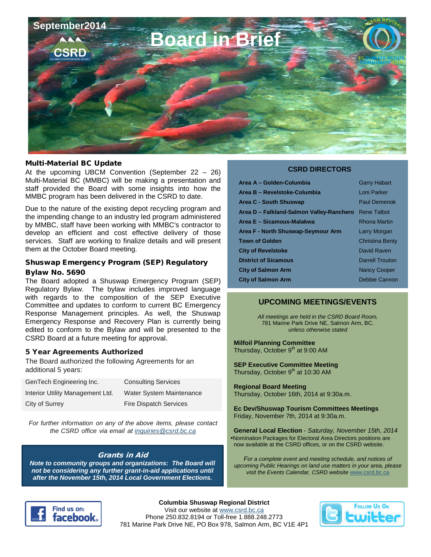

#### Multi-Material BC Update

At the upcoming UBCM Convention (September 22 – 26) Multi-Material BC (MMBC) will be making a presentation and staff provided the Board with some insights into how the MMBC program has been delivered in the CSRD to date.

Due to the nature of the existing depot recycling program and the impending change to an industry led program administered by MMBC, staff have been working with MMBC's contractor to develop an efficient and cost effective delivery of those services. Staff are working to finalize details and will present them at the October Board meeting.

# Shuswap Emergency Program (SEP) Regulatory

#### Bylaw No. 5690

The Board adopted a Shuswap Emergency Program (SEP) Regulatory Bylaw. The bylaw includes improved language with regards to the composition of the SEP Executive Committee and updates to conform to current BC Emergency Response Management principles. As well, the Shuswap Emergency Response and Recovery Plan is currently being edited to conform to the Bylaw and will be presented to the CSRD Board at a future meeting for approval.

#### 5 Year Agreements Authorized

The Board authorized the following Agreements for an additional 5 years:

| GenTech Engineering Inc.         | <b>Consulting Services</b>    |
|----------------------------------|-------------------------------|
| Interior Utility Management Ltd. | Water System Maintenance      |
| City of Surrey                   | <b>Fire Dispatch Services</b> |

*For further information on any of the above items, please contact the CSRD office via email at [inquiries@csrd.bc.ca](mailto:inquiries@csrd.bc.ca)*

#### Grants in Aid

*Note to community groups and organizations: The Board will not be considering any further grant-in-aid applications until after the November 15th, 2014 Local Government Elections.*

#### **CSRD DIRECTORS**

| Area A - Golden-Columbia                 | <b>Garry Habart</b>    |
|------------------------------------------|------------------------|
| Area B - Revelstoke-Columbia             | Loni Parker            |
| Area C - South Shuswap                   | <b>Paul Demenok</b>    |
| Area D - Falkland-Salmon Valley-Ranchero | <b>Rene Talbot</b>     |
| Area E - Sicamous-Malakwa                | <b>Rhona Martin</b>    |
| Area F - North Shuswap-Seymour Arm       | Larry Morgan           |
| <b>Town of Golden</b>                    | <b>Christina Benty</b> |
| <b>City of Revelstoke</b>                | David Raven            |
| <b>District of Sicamous</b>              | <b>Darrell Trouton</b> |
| <b>City of Salmon Arm</b>                | <b>Nancy Cooper</b>    |
| <b>City of Salmon Arm</b>                | Debbie Cannon          |

#### **UPCOMING MEETINGS/EVENTS**

*All meetings are held in the CSRD Board Room,* 781 Marine Park Drive NE, Salmon Arm, BC. *unless otherwise stated*

**Milfoil Planning Committee** Thursday, October  $9<sup>th</sup>$  at 9:00 AM

**SEP Executive Committee Meeting**  Thursday, October  $9<sup>th</sup>$  at 10:30 AM

**Regional Board Meeting** Thursday, October 16th, 2014 at 9:30a.m.

**Ec Dev/Shuswap Tourism Committees Meetings** Friday, November 7th, 2014 at 9:30a.m.

**General Local Election** - *Saturday, November 15th, 2014* •Nomination Packages for Electoral Area Directors positions are now available at the CSRD offices, or on the CSRD website.

*For a complete event and meeting schedule, and notices of upcoming Public Hearings on land use matters in your area, please visit the Events Calendar, CSRD website* [www.csrd.bc.ca](http://www.csrd.bc.ca/inside-csrd/meetings/csrd-calendar)



**Columbia Shuswap Regional District** Visit our website a[t www.csrd.bc.ca](http://www.csrd.bc.ca/) Phone 250.832.8194 or Toll-free 1.888.248.2773 781 Marine Park Drive NE, PO Box 978, Salmon Arm, BC V1E 4P1

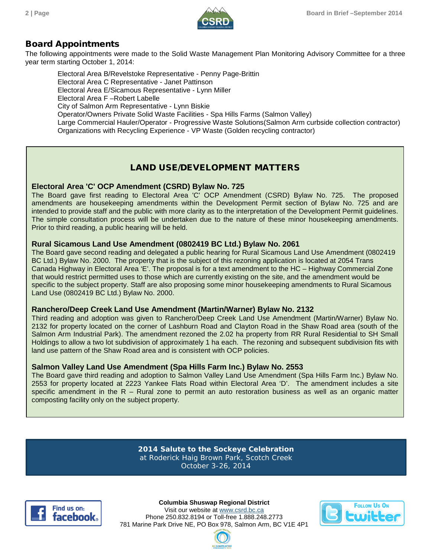

## Board Appointments

The following appointments were made to the Solid Waste Management Plan Monitoring Advisory Committee for a three year term starting October 1, 2014:

Electoral Area B/Revelstoke Representative - Penny Page-Brittin Electoral Area C Representative - Janet Pattinson Electoral Area E/Sicamous Representative - Lynn Miller Electoral Area F –Robert Labelle City of Salmon Arm Representative - Lynn Biskie Operator/Owners Private Solid Waste Facilities - Spa Hills Farms (Salmon Valley) Large Commercial Hauler/Operator - Progressive Waste Solutions(Salmon Arm curbside collection contractor) Organizations with Recycling Experience - VP Waste (Golden recycling contractor)

## LAND USE/DEVELOPMENT MATTERS

## **Electoral Area 'C' OCP Amendment (CSRD) Bylaw No. 725**

The Board gave first reading to Electoral Area 'C' OCP Amendment (CSRD) Bylaw No. 725. The proposed amendments are housekeeping amendments within the Development Permit section of Bylaw No. 725 and are intended to provide staff and the public with more clarity as to the interpretation of the Development Permit guidelines. The simple consultation process will be undertaken due to the nature of these minor housekeeping amendments. Prior to third reading, a public hearing will be held.

#### **Rural Sicamous Land Use Amendment (0802419 BC Ltd.) Bylaw No. 2061**

The Board gave second reading and delegated a public hearing for Rural Sicamous Land Use Amendment (0802419 BC Ltd.) Bylaw No. 2000. The property that is the subject of this rezoning application is located at 2054 Trans Canada Highway in Electoral Area 'E'. The proposal is for a text amendment to the HC – Highway Commercial Zone that would restrict permitted uses to those which are currently existing on the site, and the amendment would be specific to the subject property. Staff are also proposing some minor housekeeping amendments to Rural Sicamous Land Use (0802419 BC Ltd.) Bylaw No. 2000.

#### **Ranchero/Deep Creek Land Use Amendment (Martin/Warner) Bylaw No. 2132**

Third reading and adoption was given to Ranchero/Deep Creek Land Use Amendment (Martin/Warner) Bylaw No. 2132 for property located on the corner of Lashburn Road and Clayton Road in the Shaw Road area (south of the Salmon Arm Industrial Park). The amendment rezoned the 2.02 ha property from RR Rural Residential to SH Small Holdings to allow a two lot subdivision of approximately 1 ha each. The rezoning and subsequent subdivision fits with land use pattern of the Shaw Road area and is consistent with OCP policies.

## **Salmon Valley Land Use Amendment (Spa Hills Farm Inc.) Bylaw No. 2553**

The Board gave third reading and adoption to Salmon Valley Land Use Amendment (Spa Hills Farm Inc.) Bylaw No. 2553 for property located at 2223 Yankee Flats Road within Electoral Area 'D'. The amendment includes a site specific amendment in the R – Rural zone to permit an auto restoration business as well as an organic matter composting facility only on the subject property.

> **2014 Salute to the Sockeye Celebration** at Roderick Haig Brown Park, Scotch Creek October 3-26, 2014



**Columbia Shuswap Regional District** Visit our website a[t www.csrd.bc.ca](http://www.csrd.bc.ca/) Phone 250.832.8194 or Toll-free 1.888.248.2773 781 Marine Park Drive NE, PO Box 978, Salmon Arm, BC V1E 4P1